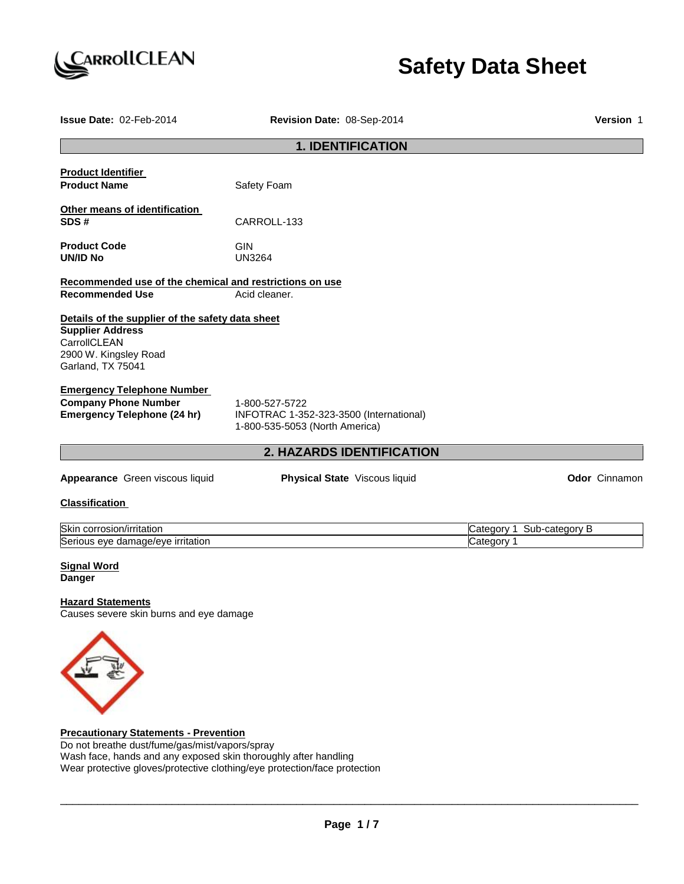

# **Safety Data Sheet**

| Issue Date: 02-Feb-2014                                                                                                                                                                         | Revision Date: 08-Sep-2014                                                                  |                           |  |
|-------------------------------------------------------------------------------------------------------------------------------------------------------------------------------------------------|---------------------------------------------------------------------------------------------|---------------------------|--|
|                                                                                                                                                                                                 | <b>1. IDENTIFICATION</b>                                                                    |                           |  |
| <b>Product Identifier</b><br><b>Product Name</b>                                                                                                                                                | Safety Foam                                                                                 |                           |  |
| Other means of identification<br>SDS#                                                                                                                                                           | CARROLL-133                                                                                 |                           |  |
| <b>Product Code</b><br><b>UN/ID No</b>                                                                                                                                                          | <b>GIN</b><br><b>UN3264</b>                                                                 |                           |  |
| Recommended use of the chemical and restrictions on use                                                                                                                                         |                                                                                             |                           |  |
| <b>Recommended Use</b>                                                                                                                                                                          | Acid cleaner.                                                                               |                           |  |
| <b>Supplier Address</b><br>CarrollCLEAN<br>2900 W. Kingsley Road<br>Garland, TX 75041<br><b>Emergency Telephone Number</b><br><b>Company Phone Number</b><br><b>Emergency Telephone (24 hr)</b> | 1-800-527-5722<br>INFOTRAC 1-352-323-3500 (International)<br>1-800-535-5053 (North America) |                           |  |
|                                                                                                                                                                                                 | 2. HAZARDS IDENTIFICATION                                                                   |                           |  |
| Appearance Green viscous liquid                                                                                                                                                                 | Physical State Viscous liquid                                                               | Odor Cinnamon             |  |
| <b>Classification</b>                                                                                                                                                                           |                                                                                             |                           |  |
| Skin corrosion/irritation                                                                                                                                                                       |                                                                                             | Category 1 Sub-category B |  |
| Serious eye damage/eye irritation                                                                                                                                                               |                                                                                             | Category 1                |  |
| <b>Signal Word</b><br><b>Danger</b>                                                                                                                                                             |                                                                                             |                           |  |
| <b>Hazard Statements</b><br>Causes severe skin burns and eye damage                                                                                                                             |                                                                                             |                           |  |
|                                                                                                                                                                                                 |                                                                                             |                           |  |

**Precautionary Statements - Prevention**

 $\checkmark$ 

Do not breathe dust/fume/gas/mist/vapors/spray Wash face, hands and any exposed skin thoroughly after handling Wear protective gloves/protective clothing/eye protection/face protection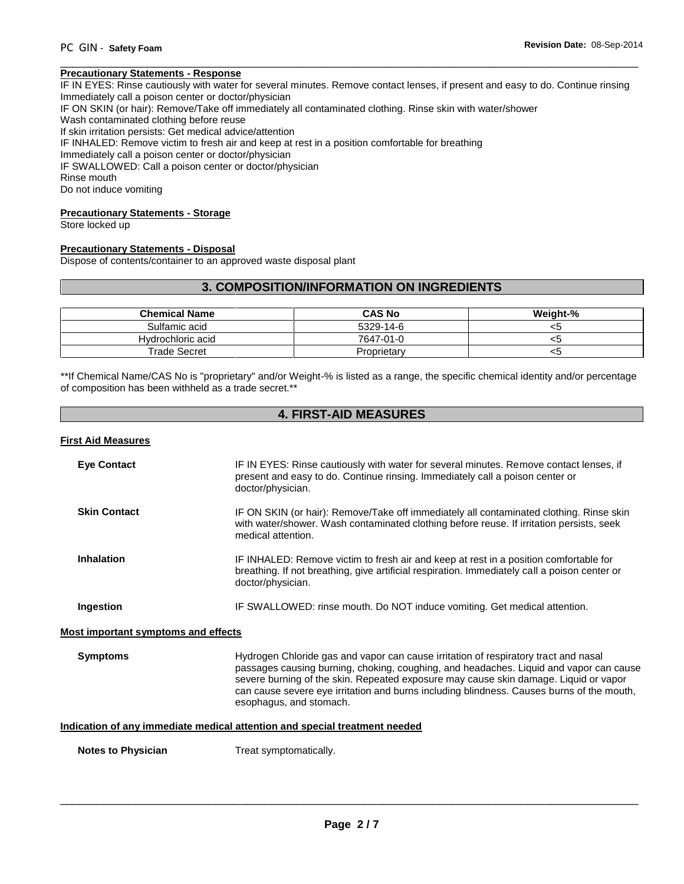#### \_\_\_\_\_\_\_\_\_\_\_\_\_\_\_\_\_\_\_\_\_\_\_\_\_\_\_\_\_\_\_\_\_\_\_\_\_\_\_\_\_\_\_\_\_\_\_\_\_\_\_\_\_\_\_\_\_\_\_\_\_\_\_\_\_\_\_\_\_\_\_\_\_\_\_\_\_\_\_\_\_\_\_\_\_\_\_\_\_\_\_\_\_ **Precautionary Statements - Response**

IF IN EYES: Rinse cautiously with water for several minutes. Remove contact lenses, if present and easy to do. Continue rinsing Immediately call a poison center or doctor/physician

IF ON SKIN (or hair): Remove/Take off immediately all contaminated clothing. Rinse skin with water/shower

Wash contaminated clothing before reuse

If skin irritation persists: Get medical advice/attention

IF INHALED: Remove victim to fresh air and keep at rest in a position comfortable for breathing

Immediately call a poison center or doctor/physician

IF SWALLOWED: Call a poison center or doctor/physician

Rinse mouth

Do not induce vomiting

#### **Precautionary Statements - Storage**

Store locked up

#### **Precautionary Statements - Disposal**

Dispose of contents/container to an approved waste disposal plant

### **3. COMPOSITION/INFORMATION ON INGREDIENTS**

| <b>Chemical Name</b> | <b>CAS No</b> | Weight-% |
|----------------------|---------------|----------|
| Sulfamic acid        | 5329-14-6     |          |
| Hydrochloric acid    | 7647-01-0     |          |
| Trade Secret         | Proprietary   | 53       |

\*\*If Chemical Name/CAS No is "proprietary" and/or Weight-% is listed as a range, the specific chemical identity and/or percentage of composition has been withheld as a trade secret.\*\*

### **4. FIRST-AID MEASURES**

#### **First Aid Measures**

| <b>Eye Contact</b>                         | IF IN EYES: Rinse cautiously with water for several minutes. Remove contact lenses, if<br>present and easy to do. Continue rinsing. Immediately call a poison center or<br>doctor/physician.                                                                                                                                                                                                  |
|--------------------------------------------|-----------------------------------------------------------------------------------------------------------------------------------------------------------------------------------------------------------------------------------------------------------------------------------------------------------------------------------------------------------------------------------------------|
| <b>Skin Contact</b>                        | IF ON SKIN (or hair): Remove/Take off immediately all contaminated clothing. Rinse skin<br>with water/shower. Wash contaminated clothing before reuse. If irritation persists, seek<br>medical attention.                                                                                                                                                                                     |
| <b>Inhalation</b>                          | IF INHALED: Remove victim to fresh air and keep at rest in a position comfortable for<br>breathing. If not breathing, give artificial respiration. Immediately call a poison center or<br>doctor/physician.                                                                                                                                                                                   |
| Ingestion                                  | IF SWALLOWED: rinse mouth. Do NOT induce vomiting. Get medical attention.                                                                                                                                                                                                                                                                                                                     |
| <b>Most important symptoms and effects</b> |                                                                                                                                                                                                                                                                                                                                                                                               |
| <b>Symptoms</b>                            | Hydrogen Chloride gas and vapor can cause irritation of respiratory tract and nasal<br>passages causing burning, choking, coughing, and headaches. Liquid and vapor can cause<br>severe burning of the skin. Repeated exposure may cause skin damage. Liquid or vapor<br>can cause severe eye irritation and burns including blindness. Causes burns of the mouth,<br>esophagus, and stomach. |
|                                            | Indication of any immediate medical attention and special treatment needed                                                                                                                                                                                                                                                                                                                    |
| <b>Notes to Physician</b>                  | Treat symptomatically.                                                                                                                                                                                                                                                                                                                                                                        |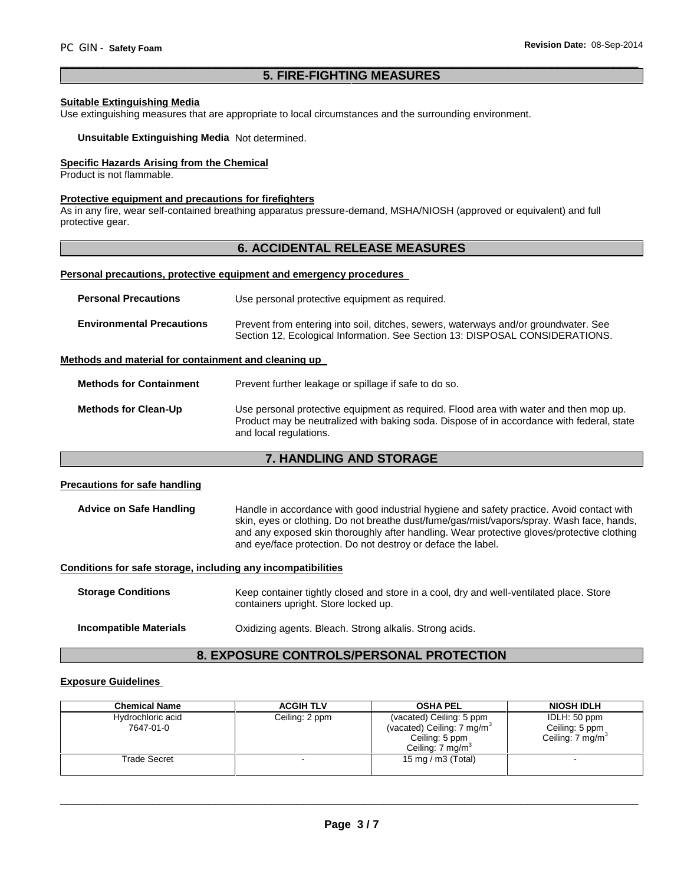### **5. FIRE-FIGHTING MEASURES**

\_\_\_\_\_\_\_\_\_\_\_\_\_\_\_\_\_\_\_\_\_\_\_\_\_\_\_\_\_\_\_\_\_\_\_\_\_\_\_\_\_\_\_\_\_\_\_\_\_\_\_\_\_\_\_\_\_\_\_\_\_\_\_\_\_\_\_\_\_\_\_\_\_\_\_\_\_\_\_\_\_\_\_\_\_\_\_\_\_\_\_\_\_

#### **Suitable Extinguishing Media**

Use extinguishing measures that are appropriate to local circumstances and the surrounding environment.

#### **Unsuitable Extinguishing Media** Not determined.

### **Specific Hazards Arising from the Chemical**

Product is not flammable.

#### **Protective equipment and precautions for firefighters**

As in any fire, wear self-contained breathing apparatus pressure-demand, MSHA/NIOSH (approved or equivalent) and full protective gear.

### **6. ACCIDENTAL RELEASE MEASURES**

#### **Personal precautions, protective equipment and emergency procedures**

| <b>Personal Precautions</b>                          | Use personal protective equipment as required.                                                                                                                      |
|------------------------------------------------------|---------------------------------------------------------------------------------------------------------------------------------------------------------------------|
| <b>Environmental Precautions</b>                     | Prevent from entering into soil, ditches, sewers, waterways and/or groundwater. See<br>Section 12, Ecological Information. See Section 13: DISPOSAL CONSIDERATIONS. |
| Methods and material for containment and cleaning up |                                                                                                                                                                     |

#### **Methods for Containment** Prevent further leakage or spillage if safe to do so.

| Methods for Clean-Up | Use personal protective equipment as required. Flood area with water and then mop up.     |
|----------------------|-------------------------------------------------------------------------------------------|
|                      | Product may be neutralized with baking soda. Dispose of in accordance with federal, state |
|                      | and local regulations.                                                                    |

### **7. HANDLING AND STORAGE**

#### **Precautions for safe handling**

Advice on Safe Handling **Handle in accordance with good industrial hygiene and safety practice. Avoid contact with** skin, eyes or clothing. Do not breathe dust/fume/gas/mist/vapors/spray. Wash face, hands, and any exposed skin thoroughly after handling. Wear protective gloves/protective clothing and eye/face protection. Do not destroy or deface the label.

#### **Conditions for safe storage, including any incompatibilities**

**Storage Conditions** Keep container tightly closed and store in a cool, dry and well-ventilated place. Store containers upright. Store locked up.

**Incompatible Materials** Oxidizing agents. Bleach. Strong alkalis. Strong acids.

### **8. EXPOSURE CONTROLS/PERSONAL PROTECTION**

#### **Exposure Guidelines**

| <b>Chemical Name</b>           | <b>ACGIH TLV</b> | <b>OSHA PEL</b>                                                                                                     | <b>NIOSH IDLH</b>                                              |
|--------------------------------|------------------|---------------------------------------------------------------------------------------------------------------------|----------------------------------------------------------------|
| Hydrochloric acid<br>7647-01-0 | Ceiling: 2 ppm   | (vacated) Ceiling: 5 ppm<br>(vacated) Ceiling: $7 \text{ mg/m}^3$<br>Ceiling: 5 ppm<br>Ceiling: 7 mg/m <sup>3</sup> | IDLH: 50 ppm<br>Ceiling: 5 ppm<br>Ceiling: 7 mg/m <sup>3</sup> |
| Trade Secret                   |                  | 15 mg / m $3$ (Total)                                                                                               |                                                                |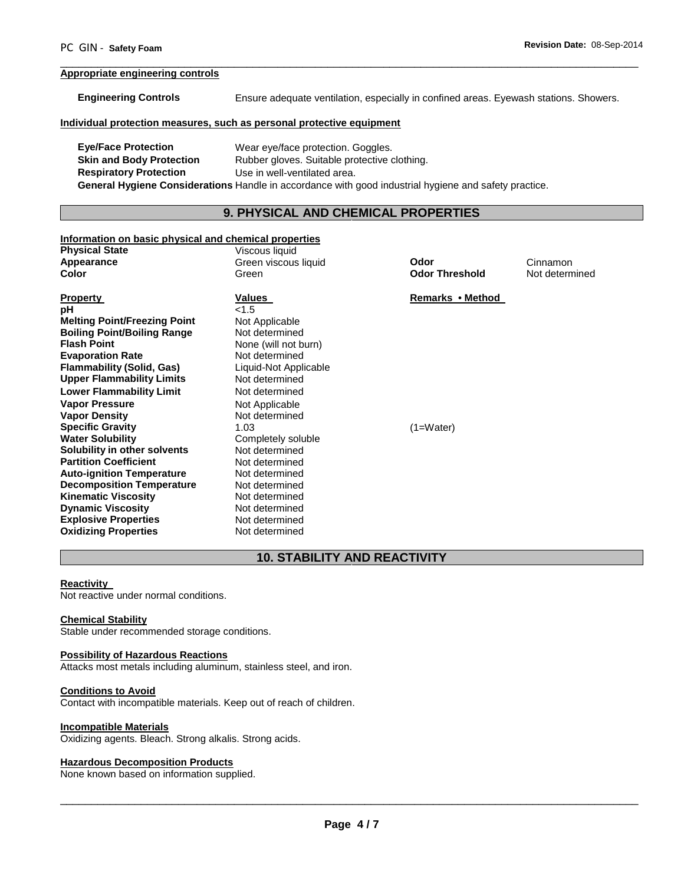### **Appropriate engineering controls**

| <b>Engineering Controls</b>                                           | Ensure adequate ventilation, especially in confined areas. Eyewash stations. Showers.                 |                                              |                            |  |  |
|-----------------------------------------------------------------------|-------------------------------------------------------------------------------------------------------|----------------------------------------------|----------------------------|--|--|
| Individual protection measures, such as personal protective equipment |                                                                                                       |                                              |                            |  |  |
| <b>Eye/Face Protection</b>                                            |                                                                                                       |                                              |                            |  |  |
| <b>Skin and Body Protection</b>                                       | Wear eye/face protection. Goggles.                                                                    |                                              |                            |  |  |
| <b>Respiratory Protection</b>                                         | Use in well-ventilated area.                                                                          | Rubber gloves. Suitable protective clothing. |                            |  |  |
|                                                                       |                                                                                                       |                                              |                            |  |  |
|                                                                       | General Hygiene Considerations Handle in accordance with good industrial hygiene and safety practice. |                                              |                            |  |  |
|                                                                       | 9. PHYSICAL AND CHEMICAL PROPERTIES                                                                   |                                              |                            |  |  |
|                                                                       |                                                                                                       |                                              |                            |  |  |
| Information on basic physical and chemical properties                 |                                                                                                       |                                              |                            |  |  |
| <b>Physical State</b>                                                 | Viscous liquid                                                                                        | Odor                                         |                            |  |  |
| Appearance<br>Color                                                   | Green viscous liquid<br>Green                                                                         | <b>Odor Threshold</b>                        | Cinnamon<br>Not determined |  |  |
|                                                                       |                                                                                                       |                                              |                            |  |  |
| <b>Property</b>                                                       | Values                                                                                                | Remarks • Method                             |                            |  |  |
| рH                                                                    | < 1.5                                                                                                 |                                              |                            |  |  |
| <b>Melting Point/Freezing Point</b>                                   | Not Applicable                                                                                        |                                              |                            |  |  |
| <b>Boiling Point/Boiling Range</b>                                    | Not determined                                                                                        |                                              |                            |  |  |
| <b>Flash Point</b>                                                    | None (will not burn)                                                                                  |                                              |                            |  |  |
| <b>Evaporation Rate</b>                                               | Not determined                                                                                        |                                              |                            |  |  |
| <b>Flammability (Solid, Gas)</b>                                      | Liquid-Not Applicable                                                                                 |                                              |                            |  |  |
| <b>Upper Flammability Limits</b>                                      | Not determined                                                                                        |                                              |                            |  |  |
| <b>Lower Flammability Limit</b>                                       | Not determined                                                                                        |                                              |                            |  |  |
| <b>Vapor Pressure</b>                                                 | Not Applicable                                                                                        |                                              |                            |  |  |
| <b>Vapor Density</b>                                                  | Not determined                                                                                        |                                              |                            |  |  |
| <b>Specific Gravity</b>                                               | 1.03                                                                                                  | $(1=Water)$                                  |                            |  |  |
| <b>Water Solubility</b>                                               | Completely soluble                                                                                    |                                              |                            |  |  |
| Solubility in other solvents                                          | Not determined                                                                                        |                                              |                            |  |  |
| <b>Partition Coefficient</b>                                          | Not determined                                                                                        |                                              |                            |  |  |
| <b>Auto-ignition Temperature</b>                                      | Not determined                                                                                        |                                              |                            |  |  |

\_\_\_\_\_\_\_\_\_\_\_\_\_\_\_\_\_\_\_\_\_\_\_\_\_\_\_\_\_\_\_\_\_\_\_\_\_\_\_\_\_\_\_\_\_\_\_\_\_\_\_\_\_\_\_\_\_\_\_\_\_\_\_\_\_\_\_\_\_\_\_\_\_\_\_\_\_\_\_\_\_\_\_\_\_\_\_\_\_\_\_\_\_

## **10. STABILITY AND REACTIVITY**

### **Reactivity**

Not reactive under normal conditions.

### **Chemical Stability**

**Oxidizing Properties** 

Stable under recommended storage conditions.

**Auto-ignition Temperature** Not determined<br> **Decomposition Temperature** Not determined **Decomposition Temperature** Not determined<br> **Kinematic Viscosity** Not determined **Kinematic Viscosity Not determined**<br> **Dynamic Viscosity Not determined Dynamic Viscosity**<br> **Explosive Properties**<br>
Not determined **Explosive Properties**<br> **Oxidizing Properties**<br>
Not determined

### **Possibility of Hazardous Reactions**

Attacks most metals including aluminum, stainless steel, and iron.

### **Conditions to Avoid**

Contact with incompatible materials. Keep out of reach of children.

### **Incompatible Materials**

Oxidizing agents. Bleach. Strong alkalis. Strong acids.

### **Hazardous Decomposition Products**

None known based on information supplied.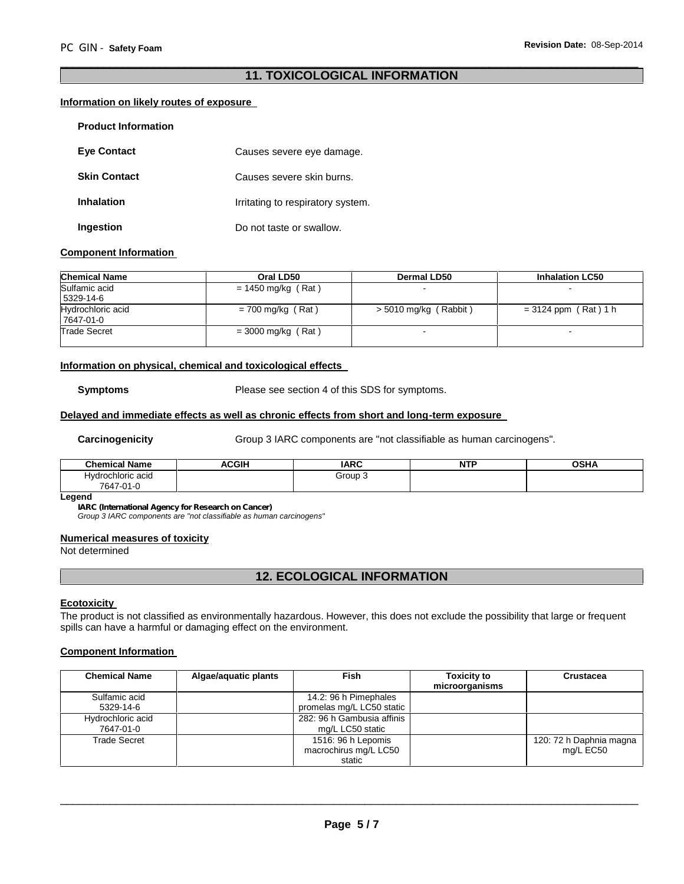### **11. TOXICOLOGICAL INFORMATION**

\_\_\_\_\_\_\_\_\_\_\_\_\_\_\_\_\_\_\_\_\_\_\_\_\_\_\_\_\_\_\_\_\_\_\_\_\_\_\_\_\_\_\_\_\_\_\_\_\_\_\_\_\_\_\_\_\_\_\_\_\_\_\_\_\_\_\_\_\_\_\_\_\_\_\_\_\_\_\_\_\_\_\_\_\_\_\_\_\_\_\_\_\_

#### **Information on likely routes of exposure**

| <b>Product Information</b> |                                   |
|----------------------------|-----------------------------------|
| <b>Eve Contact</b>         | Causes severe eye damage.         |
| <b>Skin Contact</b>        | Causes severe skin burns.         |
| Inhalation                 | Irritating to respiratory system. |
| Ingestion                  | Do not taste or swallow.          |

#### **Component Information**

| <b>Chemical Name</b> | Oral LD50            | <b>Dermal LD50</b>      | <b>Inhalation LC50</b> |
|----------------------|----------------------|-------------------------|------------------------|
| Sulfamic acid        | $= 1450$ mg/kg (Rat) |                         |                        |
| 5329-14-6            |                      |                         |                        |
| Hydrochloric acid    | $= 700$ mg/kg (Rat)  | $>$ 5010 mg/kg (Rabbit) | $= 3124$ ppm (Rat) 1 h |
| 7647-01-0            |                      |                         |                        |
| <b>Trade Secret</b>  | $=$ 3000 mg/kg (Rat) |                         | $\sim$                 |
|                      |                      |                         |                        |

#### **Information on physical, chemical and toxicological effects**

**Symptoms** Please see section 4 of this SDS for symptoms.

#### **Delayed and immediate effects as well as chronic effects from short and long-term exposure**

**Carcinogenicity** Group 3 IARC components are "not classifiable as human carcinogens".

| <b>Chemical Name</b> | <b>ACGIH</b><br>л. | <b>IARC</b> | <b>NTF</b> | <b>OSHA</b> |
|----------------------|--------------------|-------------|------------|-------------|
| Hydrochloric acid    |                    | Group 3     |            |             |
| 7647<br>$7 - 01 - 0$ |                    |             |            |             |

#### **Legend**

*IARC (International Agency for Research on Cancer)*

*Group 3 IARC components are "not classifiable as human carcinogens"*

#### **Numerical measures of toxicity**

Not determined

### **12. ECOLOGICAL INFORMATION**

#### **Ecotoxicity**

The product is not classified as environmentally hazardous. However, this does not exclude the possibility that large or frequent spills can have a harmful or damaging effect on the environment.

#### **Component Information**

| <b>Chemical Name</b>           | Algae/aguatic plants | <b>Fish</b>                                           | <b>Toxicity to</b><br>microorganisms | Crustacea                            |
|--------------------------------|----------------------|-------------------------------------------------------|--------------------------------------|--------------------------------------|
| Sulfamic acid<br>5329-14-6     |                      | 14.2: 96 h Pimephales<br>promelas mg/L LC50 static    |                                      |                                      |
| Hydrochloric acid<br>7647-01-0 |                      | 282: 96 h Gambusia affinis<br>mg/L LC50 static        |                                      |                                      |
| Trade Secret                   |                      | 1516: 96 h Lepomis<br>macrochirus mg/L LC50<br>static |                                      | 120: 72 h Daphnia magna<br>mg/L EC50 |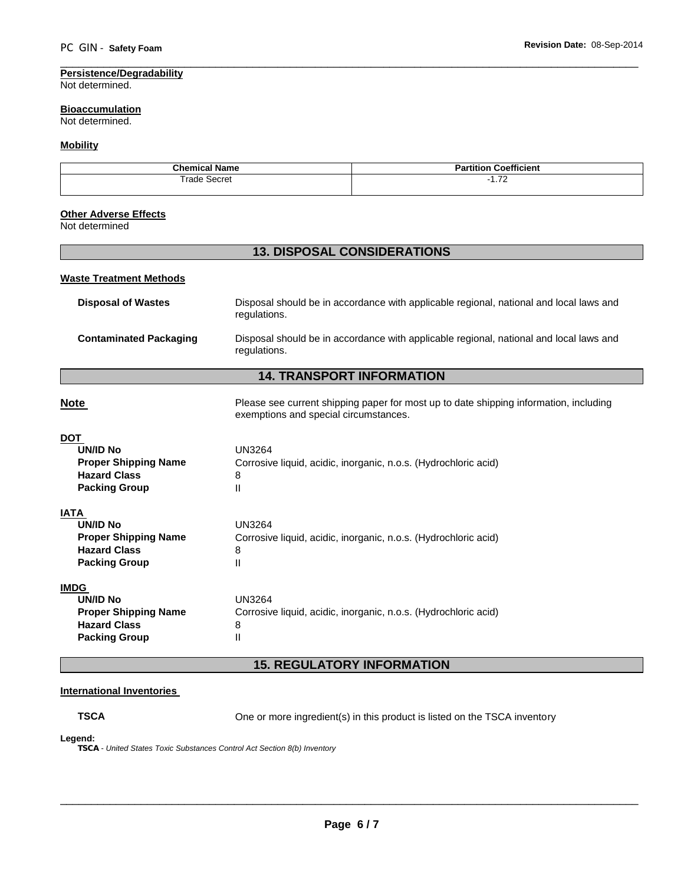#### **Persistence/Degradability** Not determined.

#### **Bioaccumulation** Not determined.

### **Mobility**

| Chemi<br>- -<br>emical<br>lame | $- - -$<br>Coefficient<br>הם<br>ππιοι<br>- 81 |
|--------------------------------|-----------------------------------------------|
| ™rad⊨                          | $\overline{\phantom{a}}$                      |
| Secret                         | . . <i>.</i> 4                                |
| .                              |                                               |

### **Other Adverse Effects**

Not determined

### **13. DISPOSAL CONSIDERATIONS**

#### **Waste Treatment Methods**

| Disposal of Wastes     | Disposal should be in accordance with applicable regional, national and local laws and<br>regulations. |
|------------------------|--------------------------------------------------------------------------------------------------------|
| Contaminated Packaging | Disposal should be in accordance with applicable regional, national and local laws and<br>regulations. |

## **14. TRANSPORT INFORMATION**

**Note Please see current shipping paper for most up to date shipping information, including vertex of Please see current shipping paper for most up to date shipping information, including** exemptions and special circumstances.

### **DOT**

| UN/ID No                    | <b>UN3264</b>                                                   |
|-----------------------------|-----------------------------------------------------------------|
| <b>Proper Shipping Name</b> | Corrosive liquid, acidic, inorganic, n.o.s. (Hydrochloric acid) |
| <b>Hazard Class</b>         | 8                                                               |
| <b>Packing Group</b>        | Ш                                                               |
| <b>IATA</b>                 |                                                                 |
| UN/ID No                    | UN3264                                                          |
| <b>Proper Shipping Name</b> | Corrosive liquid, acidic, inorganic, n.o.s. (Hydrochloric acid) |
| <b>Hazard Class</b>         | 8                                                               |
| <b>Packing Group</b>        | Ш                                                               |
| <b>IMDG</b>                 |                                                                 |
| UN/ID No                    | UN3264                                                          |

### **Proper Shipping Name** Corrosive liquid, acidic, inorganic, n.o.s. (Hydrochloric acid) **Hazard Class** 8 **Packing Group II**

### **15. REGULATORY INFORMATION**

#### **International Inventories**

**TSCA** One or more ingredient(s) in this product is listed on the TSCA inventory

#### **Legend:**

*TSCA - United States Toxic Substances Control Act Section 8(b) Inventory*